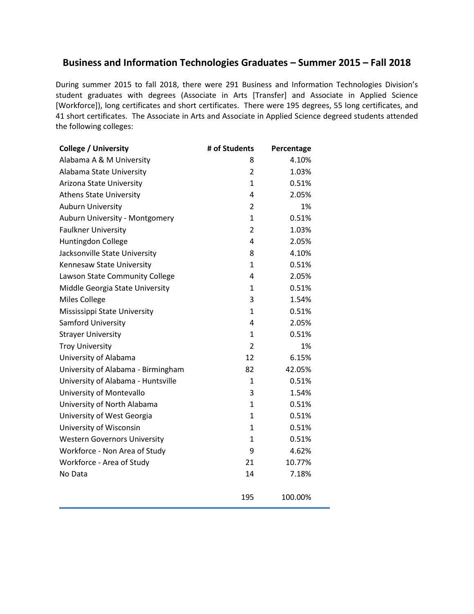## **Business and Information Technologies Graduates – Summer 2015 – Fall 2018**

During summer 2015 to fall 2018, there were 291 Business and Information Technologies Division's student graduates with degrees (Associate in Arts [Transfer] and Associate in Applied Science [Workforce]), long certificates and short certificates. There were 195 degrees, 55 long certificates, and 41 short certificates. The Associate in Arts and Associate in Applied Science degreed students attended the following colleges:

| <b>College / University</b>         | # of Students  | Percentage |
|-------------------------------------|----------------|------------|
| Alabama A & M University            | 8              | 4.10%      |
| Alabama State University            | $\overline{2}$ | 1.03%      |
| Arizona State University            | 1              | 0.51%      |
| <b>Athens State University</b>      | 4              | 2.05%      |
| <b>Auburn University</b>            | $\overline{2}$ | 1%         |
| Auburn University - Montgomery      | $\mathbf{1}$   | 0.51%      |
| <b>Faulkner University</b>          | $\overline{2}$ | 1.03%      |
| Huntingdon College                  | 4              | 2.05%      |
| Jacksonville State University       | 8              | 4.10%      |
| Kennesaw State University           | $\mathbf{1}$   | 0.51%      |
| Lawson State Community College      | 4              | 2.05%      |
| Middle Georgia State University     | 1              | 0.51%      |
| <b>Miles College</b>                | 3              | 1.54%      |
| Mississippi State University        | 1              | 0.51%      |
| Samford University                  | 4              | 2.05%      |
| <b>Strayer University</b>           | $\mathbf{1}$   | 0.51%      |
| <b>Troy University</b>              | $\overline{2}$ | 1%         |
| University of Alabama               | 12             | 6.15%      |
| University of Alabama - Birmingham  | 82             | 42.05%     |
| University of Alabama - Huntsville  | 1              | 0.51%      |
| University of Montevallo            | 3              | 1.54%      |
| University of North Alabama         | $\mathbf{1}$   | 0.51%      |
| University of West Georgia          | $\mathbf{1}$   | 0.51%      |
| University of Wisconsin             | 1              | 0.51%      |
| <b>Western Governors University</b> | $\mathbf{1}$   | 0.51%      |
| Workforce - Non Area of Study       | 9              | 4.62%      |
| Workforce - Area of Study           | 21             | 10.77%     |
| No Data                             | 14             | 7.18%      |
|                                     |                |            |
|                                     | 195            | 100.00%    |